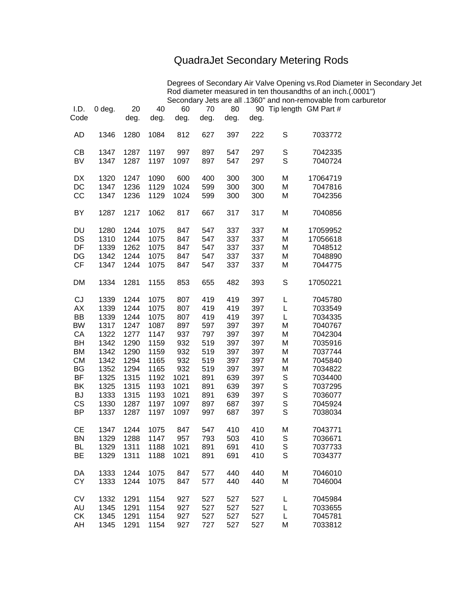## QuadraJet Secondary Metering Rods

Degrees of Secondary Air Valve Opening vs.Rod Diameter in Secondary Jet Rod diameter measured in ten thousandths of an inch.(.0001") Secondary Jets are all .1360" and non-removable from carburetor

| I.D.<br>Code | $0$ deg.     | 20<br>deg.   | 40<br>deg.   | 60<br>deg.   | 70<br>deg. | 80<br>deg. | deg.       | 90 Tip length GM Part # |                    |
|--------------|--------------|--------------|--------------|--------------|------------|------------|------------|-------------------------|--------------------|
| <b>AD</b>    | 1346         | 1280         | 1084         | 812          | 627        | 397        | 222        | S                       | 7033772            |
| CB           | 1347         | 1287         | 1197         | 997          | 897        | 547        | 297        | S                       | 7042335            |
| <b>BV</b>    | 1347         | 1287         | 1197         | 1097         | 897        | 547        | 297        | S                       | 7040724            |
| DX           | 1320         | 1247         | 1090         | 600          | 400        | 300        | 300        | M                       | 17064719           |
| DC<br>CC     | 1347<br>1347 | 1236<br>1236 | 1129<br>1129 | 1024<br>1024 | 599<br>599 | 300<br>300 | 300<br>300 | M<br>M                  | 7047816<br>7042356 |
|              |              |              |              |              |            |            |            |                         |                    |
| BY           | 1287         | 1217         | 1062         | 817          | 667        | 317        | 317        | M                       | 7040856            |
| DU           | 1280         | 1244         | 1075         | 847          | 547        | 337        | 337        | М                       | 17059952           |
| DS           | 1310         | 1244         | 1075         | 847          | 547        | 337        | 337        | М                       | 17056618           |
| DF           | 1339         | 1262         | 1075         | 847          | 547        | 337        | 337        | M                       | 7048512            |
| DG           | 1342         | 1244         | 1075         | 847          | 547        | 337        | 337        | М                       | 7048890            |
| CF           | 1347         | 1244         | 1075         | 847          | 547        | 337        | 337        | М                       | 7044775            |
| <b>DM</b>    | 1334         | 1281         | 1155         | 853          | 655        | 482        | 393        | S                       | 17050221           |
| CJ           | 1339         | 1244         | 1075         | 807          | 419        | 419        | 397        | L                       | 7045780            |
| AX           | 1339         | 1244         | 1075         | 807          | 419        | 419        | 397        | L                       | 7033549            |
| <b>BB</b>    | 1339         | 1244         | 1075         | 807          | 419        | 419        | 397        | L                       | 7034335            |
| <b>BW</b>    | 1317         | 1247         | 1087         | 897          | 597        | 397        | 397        | Μ                       | 7040767            |
| CA           | 1322         | 1277         | 1147         | 937          | 797        | 397        | 397        | M                       | 7042304            |
| BH           | 1342         | 1290         | 1159         | 932          | 519        | 397        | 397        | M                       | 7035916            |
| <b>BM</b>    | 1342         | 1290         | 1159         | 932          | 519        | 397        | 397        | M                       | 7037744            |
| <b>CM</b>    | 1342         | 1294         | 1165         | 932          | 519        | 397        | 397        | М                       | 7045840            |
| BG           | 1352         | 1294         | 1165         | 932          | 519        | 397        | 397        | М                       | 7034822            |
| BF           | 1325         | 1315         | 1192         | 1021         | 891        | 639        | 397        | S                       | 7034400            |
| BK           | 1325         | 1315         | 1193         | 1021         | 891        | 639        | 397        | S                       | 7037295            |
| <b>BJ</b>    | 1333         | 1315         | 1193         | 1021         | 891        | 639        | 397        | S                       | 7036077            |
| CS           | 1330         | 1287         | 1197         | 1097         | 897        | 687        | 397        | S<br>S                  | 7045924            |
| <b>BP</b>    | 1337         | 1287         | 1197         | 1097         | 997        | 687        | 397        |                         | 7038034            |
| <b>CE</b>    | 1347         | 1244         | 1075         | 847          | 547        | 410        | 410        | М                       | 7043771            |
| <b>BN</b>    | 1329         | 1288         | 1147         | 957          | 793        | 503        | 410        | S                       | 7036671            |
| <b>BL</b>    | 1329         | 1311         | 1188         | 1021         | 891        | 691        | 410        | S                       | 7037733            |
| <b>BE</b>    | 1329         | 1311         | 1188         | 1021         | 891        | 691        | 410        | S                       | 7034377            |
| DA           | 1333         | 1244         | 1075         | 847          | 577        | 440        | 440        | M                       | 7046010            |
| <b>CY</b>    | 1333         | 1244         | 1075         | 847          | 577        | 440        | 440        | M                       | 7046004            |
| <b>CV</b>    | 1332         | 1291         | 1154         | 927          | 527        | 527        | 527        | L                       | 7045984            |
| AU           | 1345         | 1291         | 1154         | 927          | 527        | 527        | 527        | L                       | 7033655            |
| <b>CK</b>    | 1345         | 1291         | 1154         | 927          | 527        | 527        | 527        | L                       | 7045781            |
| AH           | 1345         | 1291         | 1154         | 927          | 727        | 527        | 527        | M                       | 7033812            |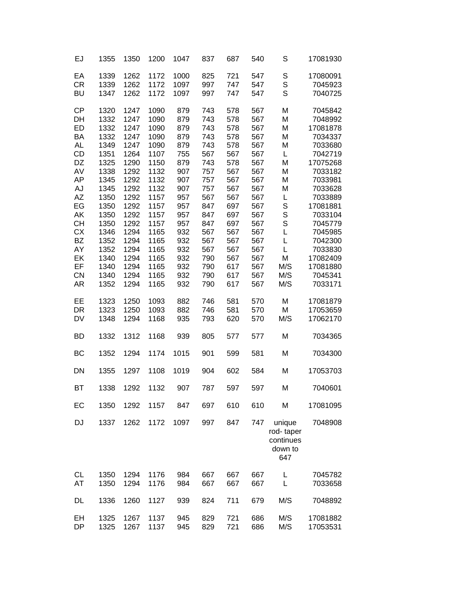| EJ                                                                                                                                                            | 1355                                                                                                                                                         | 1350                                                                                                                                                                 | 1200                                                                                                                                                                 | 1047                                                                                                                                     | 837                                                                                                                                             | 687                                                                                                                                             | 540                                                                                                                                      | S                                                                                                           | 17081930                                                                                                                                                                                                                                 |
|---------------------------------------------------------------------------------------------------------------------------------------------------------------|--------------------------------------------------------------------------------------------------------------------------------------------------------------|----------------------------------------------------------------------------------------------------------------------------------------------------------------------|----------------------------------------------------------------------------------------------------------------------------------------------------------------------|------------------------------------------------------------------------------------------------------------------------------------------|-------------------------------------------------------------------------------------------------------------------------------------------------|-------------------------------------------------------------------------------------------------------------------------------------------------|------------------------------------------------------------------------------------------------------------------------------------------|-------------------------------------------------------------------------------------------------------------|------------------------------------------------------------------------------------------------------------------------------------------------------------------------------------------------------------------------------------------|
| EA<br>CR<br><b>BU</b>                                                                                                                                         | 1339<br>1339<br>1347                                                                                                                                         | 1262<br>1262<br>1262                                                                                                                                                 | 1172<br>1172<br>1172                                                                                                                                                 | 1000<br>1097<br>1097                                                                                                                     | 825<br>997<br>997                                                                                                                               | 721<br>747<br>747                                                                                                                               | 547<br>547<br>547                                                                                                                        | S<br>S<br>S                                                                                                 | 17080091<br>7045923<br>7040725                                                                                                                                                                                                           |
| <b>CP</b><br>DH<br>ED<br>BA<br><b>AL</b><br>CD<br>DZ<br>AV<br>AP<br>AJ<br>AZ<br>EG<br>AK<br><b>CH</b><br><b>CX</b><br>BZ<br>AY<br>EK<br>EF<br>CN<br><b>AR</b> | 1320<br>1332<br>1332<br>1332<br>1349<br>1351<br>1325<br>1338<br>1345<br>1345<br>1350<br>1350<br>1350<br>1350<br>1346<br>1352<br>1352<br>1340<br>1340<br>1340 | 1247<br>1247<br>1247<br>1247<br>1247<br>1264<br>1290<br>1292<br>1292<br>1292<br>1292<br>1292<br>1292<br>1292<br>1294<br>1294<br>1294<br>1294<br>1294<br>1294<br>1294 | 1090<br>1090<br>1090<br>1090<br>1090<br>1107<br>1150<br>1132<br>1132<br>1132<br>1157<br>1157<br>1157<br>1157<br>1165<br>1165<br>1165<br>1165<br>1165<br>1165<br>1165 | 879<br>879<br>879<br>879<br>879<br>755<br>879<br>907<br>907<br>907<br>957<br>957<br>957<br>957<br>932<br>932<br>932<br>932<br>932<br>932 | 743<br>743<br>743<br>743<br>743<br>567<br>743<br>757<br>757<br>757<br>567<br>847<br>847<br>847<br>567<br>567<br>567<br>790<br>790<br>790<br>790 | 578<br>578<br>578<br>578<br>578<br>567<br>578<br>567<br>567<br>567<br>567<br>697<br>697<br>697<br>567<br>567<br>567<br>567<br>617<br>617<br>617 | 567<br>567<br>567<br>567<br>567<br>567<br>567<br>567<br>567<br>567<br>567<br>567<br>567<br>567<br>567<br>567<br>567<br>567<br>567<br>567 | M<br>M<br>M<br>M<br>M<br>L<br>M<br>M<br>M<br>М<br>L<br>S<br>S<br>S<br>L<br>L<br>L<br>M<br>M/S<br>M/S<br>M/S | 7045842<br>7048992<br>17081878<br>7034337<br>7033680<br>7042719<br>17075268<br>7033182<br>7033981<br>7033628<br>7033889<br>17081881<br>7033104<br>7045779<br>7045985<br>7042300<br>7033830<br>17082409<br>17081880<br>7045341<br>7033171 |
| EE<br>DR<br><b>DV</b>                                                                                                                                         | 1352<br>1323<br>1323<br>1348                                                                                                                                 | 1250<br>1250<br>1294                                                                                                                                                 | 1093<br>1093<br>1168                                                                                                                                                 | 932<br>882<br>882<br>935                                                                                                                 | 746<br>746<br>793                                                                                                                               | 581<br>581<br>620                                                                                                                               | 567<br>570<br>570<br>570                                                                                                                 | M<br>M<br>M/S                                                                                               | 17081879<br>17053659<br>17062170                                                                                                                                                                                                         |
| <b>BD</b>                                                                                                                                                     | 1332                                                                                                                                                         | 1312                                                                                                                                                                 | 1168                                                                                                                                                                 | 939                                                                                                                                      | 805                                                                                                                                             | 577                                                                                                                                             | 577                                                                                                                                      | M                                                                                                           | 7034365                                                                                                                                                                                                                                  |
| ВC                                                                                                                                                            | 1352                                                                                                                                                         | 1294                                                                                                                                                                 | 1174                                                                                                                                                                 | 1015                                                                                                                                     | 901                                                                                                                                             | 599                                                                                                                                             | 581                                                                                                                                      | M                                                                                                           | 7034300                                                                                                                                                                                                                                  |
| DN                                                                                                                                                            | 1355                                                                                                                                                         | 1297                                                                                                                                                                 | 1108                                                                                                                                                                 | 1019                                                                                                                                     | 904                                                                                                                                             | 602                                                                                                                                             | 584                                                                                                                                      | M                                                                                                           | 17053703                                                                                                                                                                                                                                 |
| ВT                                                                                                                                                            | 1338                                                                                                                                                         | 1292                                                                                                                                                                 | 1132                                                                                                                                                                 | 907                                                                                                                                      | 787                                                                                                                                             | 597                                                                                                                                             | 597                                                                                                                                      | M                                                                                                           | 7040601                                                                                                                                                                                                                                  |
| EC                                                                                                                                                            | 1350                                                                                                                                                         | 1292                                                                                                                                                                 | 1157                                                                                                                                                                 | 847                                                                                                                                      | 697                                                                                                                                             | 610                                                                                                                                             | 610                                                                                                                                      | M                                                                                                           | 17081095                                                                                                                                                                                                                                 |
| <b>DJ</b>                                                                                                                                                     | 1337                                                                                                                                                         | 1262                                                                                                                                                                 | 1172                                                                                                                                                                 | 1097                                                                                                                                     | 997                                                                                                                                             | 847                                                                                                                                             | 747                                                                                                                                      | unique<br>rod-taper<br>continues<br>down to<br>647                                                          | 7048908                                                                                                                                                                                                                                  |
| <b>CL</b><br>AT                                                                                                                                               | 1350<br>1350                                                                                                                                                 | 1294<br>1294                                                                                                                                                         | 1176<br>1176                                                                                                                                                         | 984<br>984                                                                                                                               | 667<br>667                                                                                                                                      | 667<br>667                                                                                                                                      | 667<br>667                                                                                                                               | L<br>L                                                                                                      | 7045782<br>7033658                                                                                                                                                                                                                       |
| DL                                                                                                                                                            | 1336                                                                                                                                                         | 1260                                                                                                                                                                 | 1127                                                                                                                                                                 | 939                                                                                                                                      | 824                                                                                                                                             | 711                                                                                                                                             | 679                                                                                                                                      | M/S                                                                                                         | 7048892                                                                                                                                                                                                                                  |
| EH<br><b>DP</b>                                                                                                                                               | 1325<br>1325                                                                                                                                                 | 1267<br>1267                                                                                                                                                         | 1137<br>1137                                                                                                                                                         | 945<br>945                                                                                                                               | 829<br>829                                                                                                                                      | 721<br>721                                                                                                                                      | 686<br>686                                                                                                                               | M/S<br>M/S                                                                                                  | 17081882<br>17053531                                                                                                                                                                                                                     |